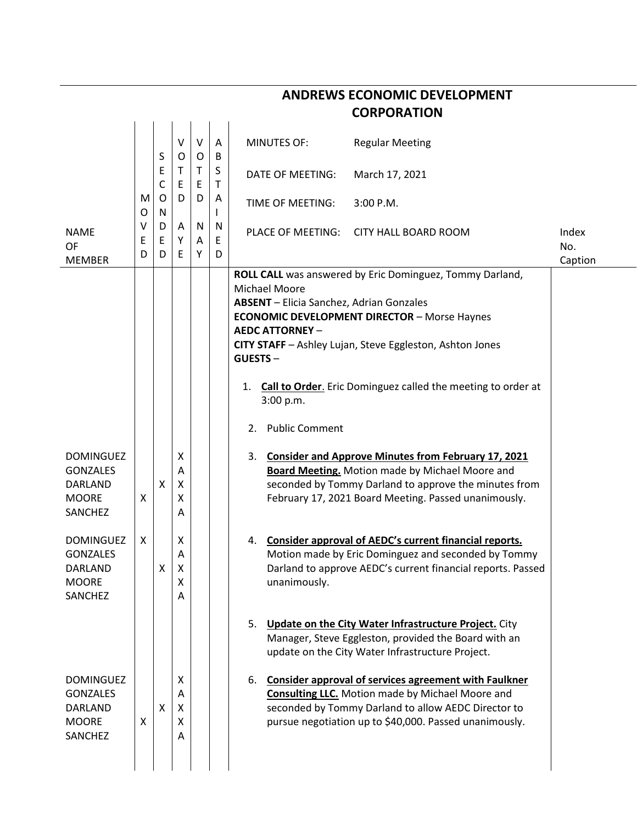|                                                                                  |             |                  |                       |             |                            | <b>CORPORATION</b>                                                                                                                                                                                                                                                                                                                                                                                                          |                         |
|----------------------------------------------------------------------------------|-------------|------------------|-----------------------|-------------|----------------------------|-----------------------------------------------------------------------------------------------------------------------------------------------------------------------------------------------------------------------------------------------------------------------------------------------------------------------------------------------------------------------------------------------------------------------------|-------------------------|
|                                                                                  |             | S                | V<br>O                | $\vee$<br>0 | A<br>B                     | <b>MINUTES OF:</b><br><b>Regular Meeting</b>                                                                                                                                                                                                                                                                                                                                                                                |                         |
|                                                                                  | M<br>O      | Ε<br>C<br>O<br>N | Т<br>E<br>D           | Τ<br>E      | S<br>$\mathsf T$<br>A<br>L | DATE OF MEETING:<br>March 17, 2021                                                                                                                                                                                                                                                                                                                                                                                          |                         |
|                                                                                  |             |                  |                       | D           |                            | TIME OF MEETING:<br>3:00 P.M.                                                                                                                                                                                                                                                                                                                                                                                               |                         |
| <b>NAME</b><br><b>OF</b><br><b>MEMBER</b>                                        | v<br>Ε<br>D | D<br>E<br>D      | A<br>Υ<br>Ε           | N<br>A<br>Υ | N<br>Ε<br>D                | PLACE OF MEETING:<br><b>CITY HALL BOARD ROOM</b>                                                                                                                                                                                                                                                                                                                                                                            | Index<br>No.<br>Caption |
|                                                                                  |             |                  |                       |             |                            | ROLL CALL was answered by Eric Dominguez, Tommy Darland,<br><b>Michael Moore</b><br><b>ABSENT</b> - Elicia Sanchez, Adrian Gonzales<br><b>ECONOMIC DEVELOPMENT DIRECTOR - Morse Haynes</b><br><b>AEDC ATTORNEY -</b><br>CITY STAFF - Ashley Lujan, Steve Eggleston, Ashton Jones<br><b>GUESTS-</b><br><b>Call to Order.</b> Eric Dominguez called the meeting to order at<br>1.<br>3:00 p.m.<br><b>Public Comment</b><br>2. |                         |
| <b>DOMINGUEZ</b><br><b>GONZALES</b><br>DARLAND<br><b>MOORE</b><br>SANCHEZ        | X           | X                | X<br>A<br>х<br>Χ<br>Α |             |                            | <b>Consider and Approve Minutes from February 17, 2021</b><br>3.<br><b>Board Meeting.</b> Motion made by Michael Moore and<br>seconded by Tommy Darland to approve the minutes from<br>February 17, 2021 Board Meeting. Passed unanimously.                                                                                                                                                                                 |                         |
| <b>DOMINGUEZ</b><br><b>GONZALES</b><br>DARLAND<br><b>MOORE</b><br>SANCHEZ        | X           | х                | х<br>A<br>X<br>X<br>A |             |                            | Consider approval of AEDC's current financial reports.<br>4.<br>Motion made by Eric Dominguez and seconded by Tommy<br>Darland to approve AEDC's current financial reports. Passed<br>unanimously.                                                                                                                                                                                                                          |                         |
|                                                                                  |             |                  |                       |             |                            | <b>Update on the City Water Infrastructure Project.</b> City<br>5.<br>Manager, Steve Eggleston, provided the Board with an<br>update on the City Water Infrastructure Project.                                                                                                                                                                                                                                              |                         |
| <b>DOMINGUEZ</b><br><b>GONZALES</b><br><b>DARLAND</b><br><b>MOORE</b><br>SANCHEZ | X           | X                | X<br>A<br>X<br>X<br>Α |             |                            | Consider approval of services agreement with Faulkner<br>6.<br><b>Consulting LLC.</b> Motion made by Michael Moore and<br>seconded by Tommy Darland to allow AEDC Director to<br>pursue negotiation up to \$40,000. Passed unanimously.                                                                                                                                                                                     |                         |

## **ANDREWS ECONOMIC DEVELOPMENT**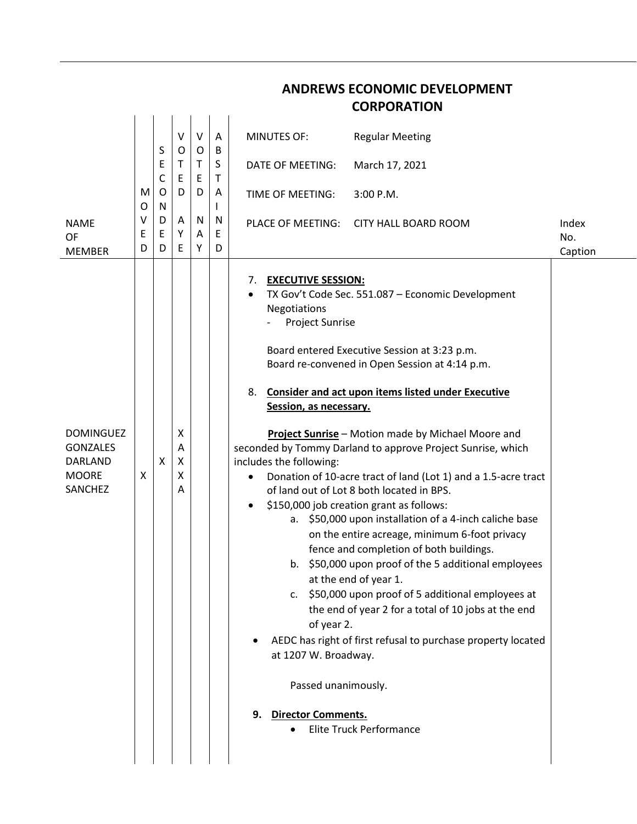|                                                                                  |             |                  |                       |             |                             | <b>CORPORATION</b>                                                                                                                                                                                                                                                                                                                                                                                                                                                                                                                                                                                                                                                                                                                                                                                                                                                                                                                                                                                                                                                                                                                                                                                     |                         |
|----------------------------------------------------------------------------------|-------------|------------------|-----------------------|-------------|-----------------------------|--------------------------------------------------------------------------------------------------------------------------------------------------------------------------------------------------------------------------------------------------------------------------------------------------------------------------------------------------------------------------------------------------------------------------------------------------------------------------------------------------------------------------------------------------------------------------------------------------------------------------------------------------------------------------------------------------------------------------------------------------------------------------------------------------------------------------------------------------------------------------------------------------------------------------------------------------------------------------------------------------------------------------------------------------------------------------------------------------------------------------------------------------------------------------------------------------------|-------------------------|
|                                                                                  |             | S                | $\sf V$<br>O          | V<br>O      | Α<br>B                      | <b>MINUTES OF:</b><br><b>Regular Meeting</b>                                                                                                                                                                                                                                                                                                                                                                                                                                                                                                                                                                                                                                                                                                                                                                                                                                                                                                                                                                                                                                                                                                                                                           |                         |
|                                                                                  | M<br>O      | Ε<br>С<br>O<br>N | Τ<br>Ε<br>D           | Τ<br>E<br>D | S<br>Τ<br>Α<br>$\mathsf{I}$ | DATE OF MEETING:<br>March 17, 2021                                                                                                                                                                                                                                                                                                                                                                                                                                                                                                                                                                                                                                                                                                                                                                                                                                                                                                                                                                                                                                                                                                                                                                     |                         |
|                                                                                  |             |                  |                       |             |                             | 3:00 P.M.<br>TIME OF MEETING:                                                                                                                                                                                                                                                                                                                                                                                                                                                                                                                                                                                                                                                                                                                                                                                                                                                                                                                                                                                                                                                                                                                                                                          |                         |
| <b>NAME</b><br>OF<br><b>MEMBER</b>                                               | v<br>Е<br>D | D<br>E<br>D      | Α<br>Υ<br>E           | N<br>Α<br>Υ | N<br>E<br>D                 | PLACE OF MEETING:<br><b>CITY HALL BOARD ROOM</b>                                                                                                                                                                                                                                                                                                                                                                                                                                                                                                                                                                                                                                                                                                                                                                                                                                                                                                                                                                                                                                                                                                                                                       | Index<br>No.<br>Caption |
| <b>DOMINGUEZ</b><br><b>GONZALES</b><br><b>DARLAND</b><br><b>MOORE</b><br>SANCHEZ | X           | X                | X<br>Α<br>X<br>X<br>A |             |                             | <b>EXECUTIVE SESSION:</b><br>7.<br>TX Gov't Code Sec. 551.087 - Economic Development<br><b>Negotiations</b><br><b>Project Sunrise</b><br>Board entered Executive Session at 3:23 p.m.<br>Board re-convened in Open Session at 4:14 p.m.<br><b>Consider and act upon items listed under Executive</b><br>8.<br>Session, as necessary.<br>Project Sunrise - Motion made by Michael Moore and<br>seconded by Tommy Darland to approve Project Sunrise, which<br>includes the following:<br>Donation of 10-acre tract of land (Lot 1) and a 1.5-acre tract<br>of land out of Lot 8 both located in BPS.<br>\$150,000 job creation grant as follows:<br>a. \$50,000 upon installation of a 4-inch caliche base<br>on the entire acreage, minimum 6-foot privacy<br>fence and completion of both buildings.<br>b. \$50,000 upon proof of the 5 additional employees<br>at the end of year 1.<br>c. \$50,000 upon proof of 5 additional employees at<br>the end of year 2 for a total of 10 jobs at the end<br>of year 2.<br>AEDC has right of first refusal to purchase property located<br>at 1207 W. Broadway.<br>Passed unanimously.<br><b>Director Comments.</b><br>9.<br><b>Elite Truck Performance</b> |                         |

**ANDREWS ECONOMIC DEVELOPMENT**